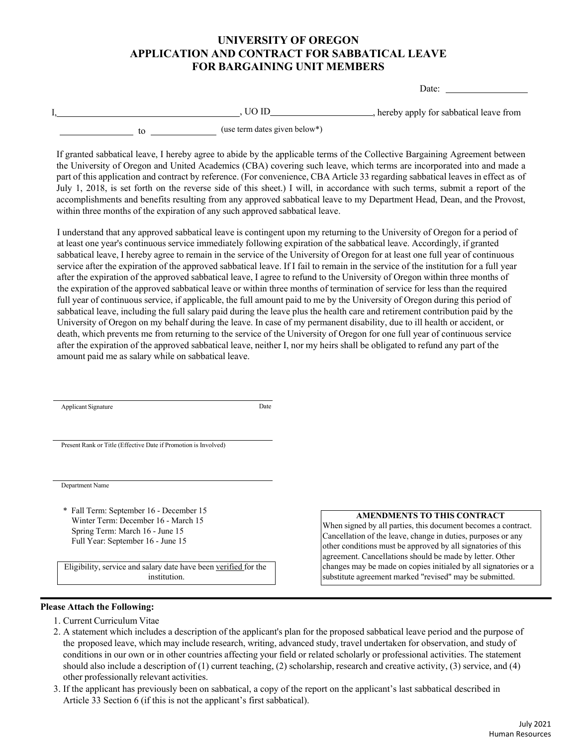## **UNIVERSITY OF OREGON APPLICATION AND CONTRACT FOR SABBATICAL LEAVE FOR BARGAINING UNIT MEMBERS**

Date:

|  |                               | , hereby apply for sabbatical leave from |
|--|-------------------------------|------------------------------------------|
|  | (use term dates given below*) |                                          |

If granted sabbatical leave, I hereby agree to abide by the applicable terms of the Collective Bargaining Agreement between the University of Oregon and United Academics (CBA) covering such leave, which terms are incorporated into and made a part of this application and contract by reference. (For convenience, CBA Article 33 regarding sabbatical leaves in effect as of July 1, 2018, is set forth on the reverse side of this sheet.) I will, in accordance with such terms, submit a report of the accomplishments and benefits resulting from any approved sabbatical leave to my Department Head, Dean, and the Provost, within three months of the expiration of any such approved sabbatical leave.

I understand that any approved sabbatical leave is contingent upon my returning to the University of Oregon for a period of at least one year's continuous service immediately following expiration of the sabbatical leave. Accordingly, if granted sabbatical leave, I hereby agree to remain in the service of the University of Oregon for at least one full year of continuous service after the expiration of the approved sabbatical leave. If I fail to remain in the service of the institution for a full year after the expiration of the approved sabbatical leave, I agree to refund to the University of Oregon within three months of the expiration of the approved sabbatical leave or within three months of termination of service for less than the required full year of continuous service, if applicable, the full amount paid to me by the University of Oregon during this period of sabbatical leave, including the full salary paid during the leave plus the health care and retirement contribution paid by the University of Oregon on my behalf during the leave. In case of my permanent disability, due to ill health or accident, or death, which prevents me from returning to the service of the University of Oregon for one full year of continuous service after the expiration of the approved sabbatical leave, neither I, nor my heirs shall be obligated to refund any part of the amount paid me as salary while on sabbatical leave.

| <b>Applicant Signature</b>                                      | Date |
|-----------------------------------------------------------------|------|
|                                                                 |      |
|                                                                 |      |
| Present Rank or Title (Effective Date if Promotion is Involved) |      |
|                                                                 |      |
|                                                                 |      |
| Department Name                                                 |      |
|                                                                 |      |
| * Fall Term: September 16 - December 15                         |      |
| Winter Term: December 16 - March 15                             |      |
| Spring Term: March 16 - June 15                                 |      |

Full Year: September 16 - June 15

Eligibility, service and salary date have been verified for the institution.

#### **AMENDMENTS TO THIS CONTRACT**

When signed by all parties, this document becomes a contract. Cancellation of the leave, change in duties, purposes or any other conditions must be approved by all signatories of this agreement. Cancellations should be made by letter. Other changes may be made on copies initialed by all signatories or a substitute agreement marked "revised" may be submitted.

### **Please Attach the Following:**

- 1. Current Curriculum Vitae
- 2. A statement which includes a description of the applicant's plan for the proposed sabbatical leave period and the purpose of the proposed leave, which may include research, writing, advanced study, travel undertaken for observation, and study of conditions in our own or in other countries affecting your field or related scholarly or professional activities. The statement should also include a description of (1) current teaching, (2) scholarship, research and creative activity, (3) service, and (4) other professionally relevant activities.
- 3. If the applicant has previously been on sabbatical, a copy of the report on the applicant's last sabbatical described in Article 33 Section 6 (if this is not the applicant's first sabbatical).